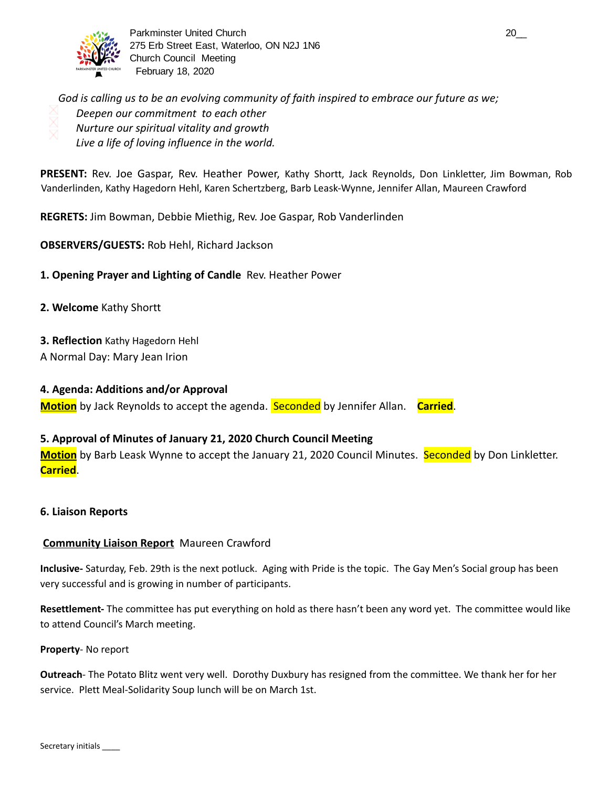

Parkminster United Church 20\_\_ 275 Erb Street East, Waterloo, ON N2J 1N6 Church Council Meeting February 18, 2020

*God is calling us to be an evolving community of faith inspired to embrace our future as we; Deepen our commitment to each other Nurture our spiritual vitality and growth Live a life of loving influence in the world.* 

**PRESENT:** Rev. Joe Gaspar, Rev. Heather Power, Kathy Shortt, Jack Reynolds, Don Linkletter, Jim Bowman, Rob Vanderlinden, Kathy Hagedorn Hehl, Karen Schertzberg, Barb Leask-Wynne, Jennifer Allan, Maureen Crawford

**REGRETS:** Jim Bowman, Debbie Miethig, Rev. Joe Gaspar, Rob Vanderlinden

## **OBSERVERS/GUESTS:** Rob Hehl, Richard Jackson

**1. Opening Prayer and Lighting of Candle** Rev. Heather Power

- **2. Welcome** Kathy Shortt
- **3. Reflection** Kathy Hagedorn Hehl
- A Normal Day: Mary Jean Irion

## **4. Agenda: Additions and/or Approval**

**Motion** by Jack Reynolds to accept the agenda. Seconded by Jennifer Allan. **Carried** .

## **5. Approval of Minutes of January 21, 2020 Church Council Meeting**

**Motion** by Barb Leask Wynne to accept the January 21, 2020 Council Minutes. Seconded by Don Linkletter. **Carried** .

## **6. Liaison Reports**

## **Community Liaison Report** Maureen Crawford

**Inclusive-** Saturday, Feb. 29th is the next potluck. Aging with Pride is the topic. The Gay Men's Social group has been very successful and is growing in number of participants.

**Resettlement-** The committee has put everything on hold as there hasn't been any word yet. The committee would like to attend Council's March meeting.

## **Property**- No report

**Outreach**- The Potato Blitz went very well. Dorothy Duxbury has resigned from the committee. We thank her for her service. Plett Meal-Solidarity Soup lunch will be on March 1st.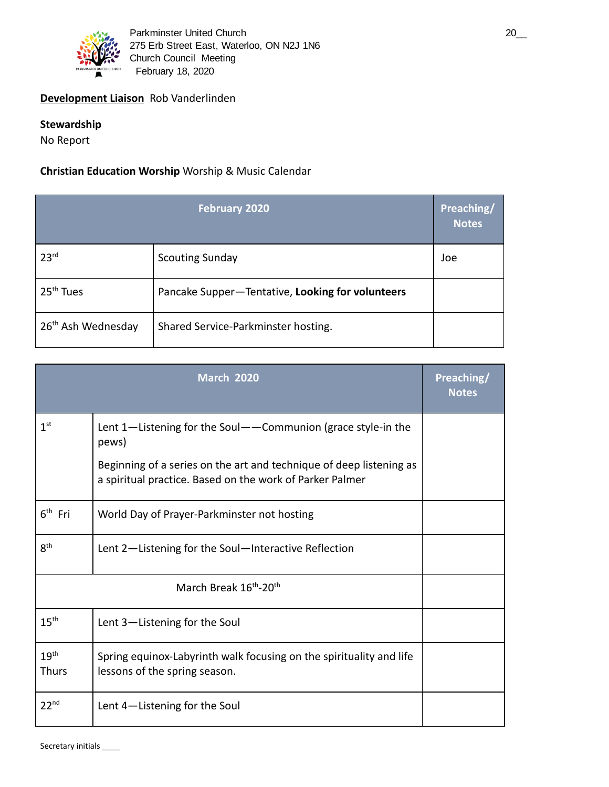

## **Development Liaison** Rob Vanderlinden

## **Stewardship**

No Report

## **Christian Education Worship** Worship & Music Calendar

|                                | <b>February 2020</b>                             | Preaching/<br><b>Notes</b> |
|--------------------------------|--------------------------------------------------|----------------------------|
| 23 <sup>rd</sup>               | <b>Scouting Sunday</b>                           | Joe                        |
| 25 <sup>th</sup> Tues          | Pancake Supper-Tentative, Looking for volunteers |                            |
| 26 <sup>th</sup> Ash Wednesday | Shared Service-Parkminster hosting.              |                            |

|                                  | <b>March 2020</b>                                                                                                                                                                                        | Preaching/<br><b>Notes</b> |
|----------------------------------|----------------------------------------------------------------------------------------------------------------------------------------------------------------------------------------------------------|----------------------------|
| 1 <sup>st</sup>                  | Lent 1-Listening for the Soul--Communion (grace style-in the<br>pews)<br>Beginning of a series on the art and technique of deep listening as<br>a spiritual practice. Based on the work of Parker Palmer |                            |
| $6th$ Fri                        | World Day of Prayer-Parkminster not hosting                                                                                                                                                              |                            |
| $8^{\text{th}}$                  | Lent 2-Listening for the Soul-Interactive Reflection                                                                                                                                                     |                            |
|                                  |                                                                                                                                                                                                          |                            |
| $15^{\text{th}}$                 | Lent 3-Listening for the Soul                                                                                                                                                                            |                            |
| 19 <sup>th</sup><br><b>Thurs</b> | Spring equinox-Labyrinth walk focusing on the spirituality and life<br>lessons of the spring season.                                                                                                     |                            |
| 22 <sup>nd</sup>                 | Lent 4-Listening for the Soul                                                                                                                                                                            |                            |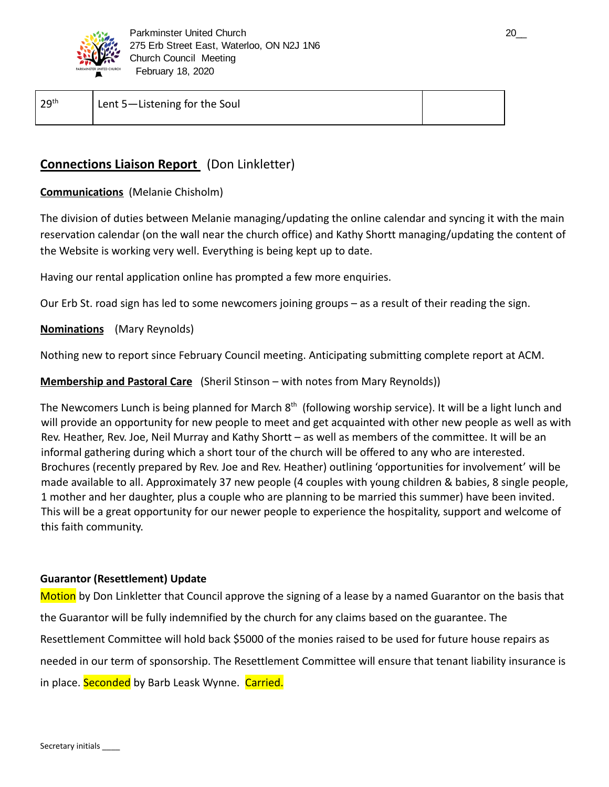

| 29 <sup>th</sup> | Lent 5-Listening for the Soul |  |
|------------------|-------------------------------|--|
|                  |                               |  |

## **Connections Liaison Report** (Don Linkletter)

## **Communications** (Melanie Chisholm)

The division of duties between Melanie managing/updating the online calendar and syncing it with the main reservation calendar (on the wall near the church office) and Kathy Shortt managing/updating the content of the Website is working very well. Everything is being kept up to date.

Having our rental application online has prompted a few more enquiries.

Our Erb St. road sign has led to some newcomers joining groups – as a result of their reading the sign.

**Nominations** (Mary Reynolds)

Nothing new to report since February Council meeting. Anticipating submitting complete report at ACM.

**Membership and Pastoral Care** (Sheril Stinson – with notes from Mary Reynolds))

The Newcomers Lunch is being planned for March 8<sup>th</sup> (following worship service). It will be a light lunch and will provide an opportunity for new people to meet and get acquainted with other new people as well as with Rev. Heather, Rev. Joe, Neil Murray and Kathy Shortt – as well as members of the committee. It will be an informal gathering during which a short tour of the church will be offered to any who are interested. Brochures (recently prepared by Rev. Joe and Rev. Heather) outlining 'opportunities for involvement' will be made available to all. Approximately 37 new people (4 couples with young children & babies, 8 single people, 1 mother and her daughter, plus a couple who are planning to be married this summer) have been invited. This will be a great opportunity for our newer people to experience the hospitality, support and welcome of this faith community.

## **Guarantor (Resettlement) Update**

Motion by Don Linkletter that Council approve the signing of a lease by a named Guarantor on the basis that the Guarantor will be fully indemnified by the church for any claims based on the guarantee. The Resettlement Committee will hold back \$5000 of the monies raised to be used for future house repairs as needed in our term of sponsorship. The Resettlement Committee will ensure that tenant liability insurance is in place. Seconded by Barb Leask Wynne. Carried.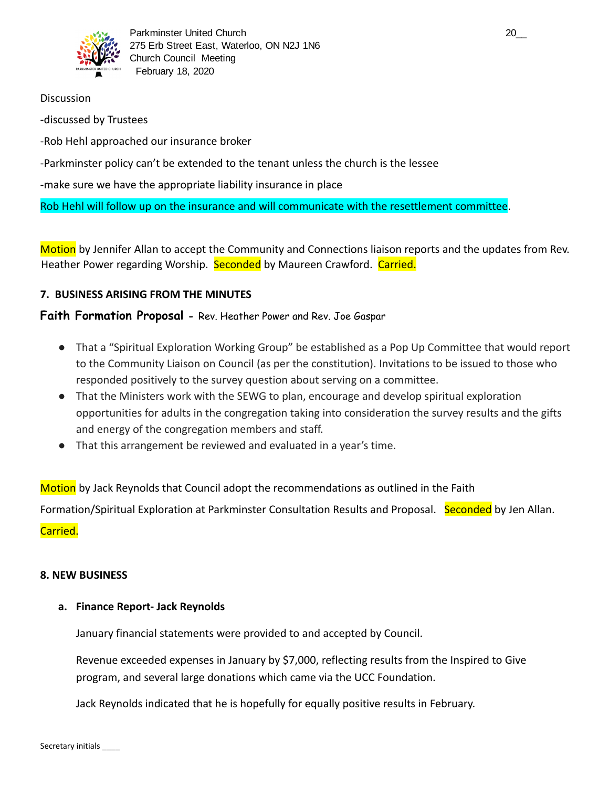

## **Discussion**

-discussed by Trustees

-Rob Hehl approached our insurance broker

## -Parkminster policy can't be extended to the tenant unless the church is the lessee

-make sure we have the appropriate liability insurance in place

Rob Hehl will follow up on the insurance and will communicate with the resettlement committee .

Motion by Jennifer Allan to accept the Community and Connections liaison reports and the updates from Rev. Heather Power regarding Worship. Seconded by Maureen Crawford. Carried.

## **7. BUSINESS ARISING FROM THE MINUTES**

## **Faith Formation Proposal -** Rev. Heather Power and Rev. Joe Gaspar

- That a "Spiritual Exploration Working Group" be established as a Pop Up Committee that would report to the Community Liaison on Council (as per the constitution). Invitations to be issued to those who responded positively to the survey question about serving on a committee.
- That the Ministers work with the SEWG to plan, encourage and develop spiritual exploration opportunities for adults in the congregation taking into consideration the survey results and the gifts and energy of the congregation members and staff.
- That this arrangement be reviewed and evaluated in a year's time.

Motion by Jack Reynolds that Council adopt the recommendations as outlined in the Faith

Formation/Spiritual Exploration at Parkminster Consultation Results and Proposal. Seconded by Jen Allan.

Carried.

## **8. NEW BUSINESS**

## **a. Finance Report- Jack Reynolds**

January financial statements were provided to and accepted by Council.

Revenue exceeded expenses in January by \$7,000, reflecting results from the Inspired to Give program, and several large donations which came via the UCC Foundation.

Jack Reynolds indicated that he is hopefully for equally positive results in February.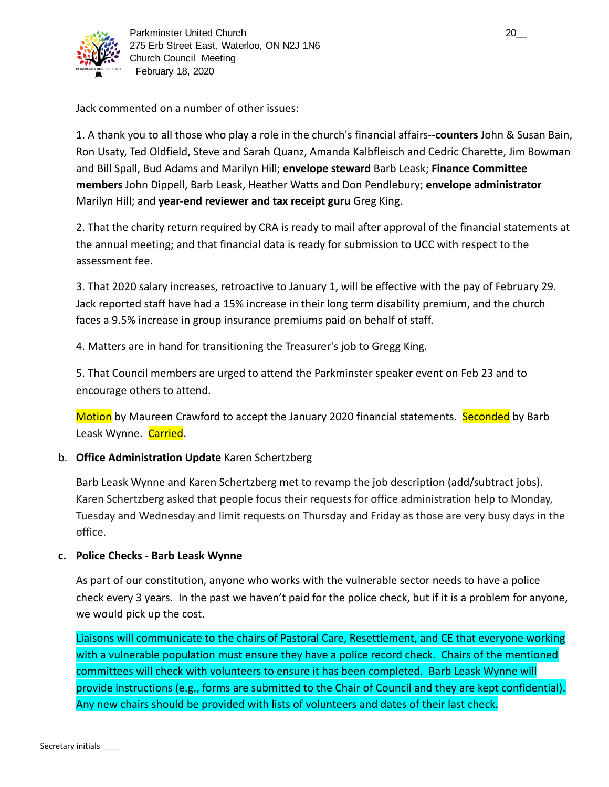

Jack commented on a number of other issues:

1. A thank you to all those who play a role in the church's financial affairs-- **counters** John & Susan Bain, Ron Usaty, Ted Oldfield, Steve and Sarah Quanz, Amanda Kalbfleisch and Cedric Charette, Jim Bowman and Bill Spall, Bud Adams and Marilyn Hill; **envelope steward** Barb Leask; **Finance Committee members** John Dippell, Barb Leask, Heather Watts and Don Pendlebury; **envelope administrator**  Marilyn Hill; and **year-end reviewer and tax receipt guru** Greg King.

2. That the charity return required by CRA is ready to mail after approval of the financial statements at the annual meeting; and that financial data is ready for submission to UCC with respect to the assessment fee.

3. That 2020 salary increases, retroactive to January 1, will be effective with the pay of February 29. Jack reported staff have had a 15% increase in their long term disability premium, and the church faces a 9.5% increase in group insurance premiums paid on behalf of staff.

4. Matters are in hand for transitioning the Treasurer's job to Gregg King.

5. That Council members are urged to attend the Parkminster speaker event on Feb 23 and to encourage others to attend.

Motion by Maureen Crawford to accept the January 2020 financial statements. Seconded by Barb Leask Wynne. Carried.

## b. **Office Administration Update** Karen Schertzberg

Barb Leask Wynne and Karen Schertzberg met to revamp the job description (add/subtract jobs). Karen Schertzberg asked that people focus their requests for office administration help to Monday, Tuesday and Wednesday and limit requests on Thursday and Friday as those are very busy days in the office.

## **c. Police Checks - Barb Leask Wynne**

As part of our constitution, anyone who works with the vulnerable sector needs to have a police check every 3 years. In the past we haven't paid for the police check, but if it is a problem for anyone, we would pick up the cost.

Liaisons will communicate to the chairs of Pastoral Care, Resettlement, and CE that everyone working with a vulnerable population must ensure they have a police record check. Chairs of the mentioned committees will check with volunteers to ensure it has been completed. Barb Leask Wynne will provide instructions (e.g., forms are submitted to the Chair of Council and they are kept confidential). Any new chairs should be provided with lists of volunteers and dates of their last check.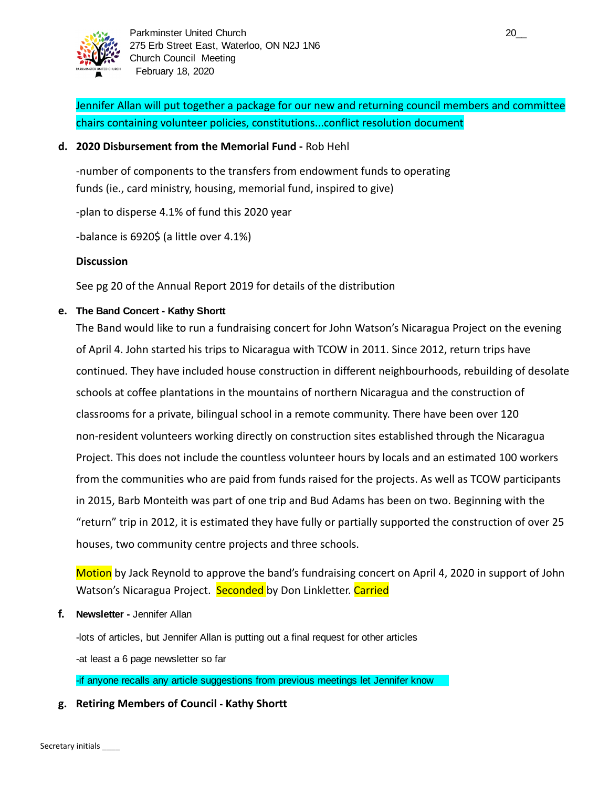

Jennifer Allan will put together a package for our new and returning council members and committee chairs containing volunteer policies, constitutions...conflict resolution document

## **d. 2020 Disbursement from the Memorial Fund -** Rob Hehl

-number of components to the transfers from endowment funds to operating funds (ie., card ministry, housing, memorial fund, inspired to give)

-plan to disperse 4.1% of fund this 2020 year

-balance is 6920\$ (a little over 4.1%)

## **Discussion**

See pg 20 of the Annual Report 2019 for details of the distribution

## **e. The Band Concert - Kathy Shortt**

The Band would like to run a fundraising concert for John Watson's Nicaragua Project on the evening of April 4. John started his trips to Nicaragua with TCOW in 2011. Since 2012, return trips have continued. They have included house construction in different neighbourhoods, rebuilding of desolate schools at coffee plantations in the mountains of northern Nicaragua and the construction of classrooms for a private, bilingual school in a remote community. There have been over 120 non-resident volunteers working directly on construction sites established through the Nicaragua Project. This does not include the countless volunteer hours by locals and an estimated 100 workers from the communities who are paid from funds raised for the projects. As well as TCOW participants in 2015, Barb Monteith was part of one trip and Bud Adams has been on two. Beginning with the "return" trip in 2012, it is estimated they have fully or partially supported the construction of over 25 houses, two community centre projects and three schools.

Motion by Jack Reynold to approve the band's fundraising concert on April 4, 2020 in support of John Watson's Nicaragua Project. Seconded by Don Linkletter. Carried

**f. Newsletter -** Jennifer Allan

-lots of articles, but Jennifer Allan is putting out a final request for other articles

-at least a 6 page newsletter so far

-if anyone recalls any article suggestions from previous meetings let Jennifer know

## **g. Retiring Members of Council - Kathy Shortt**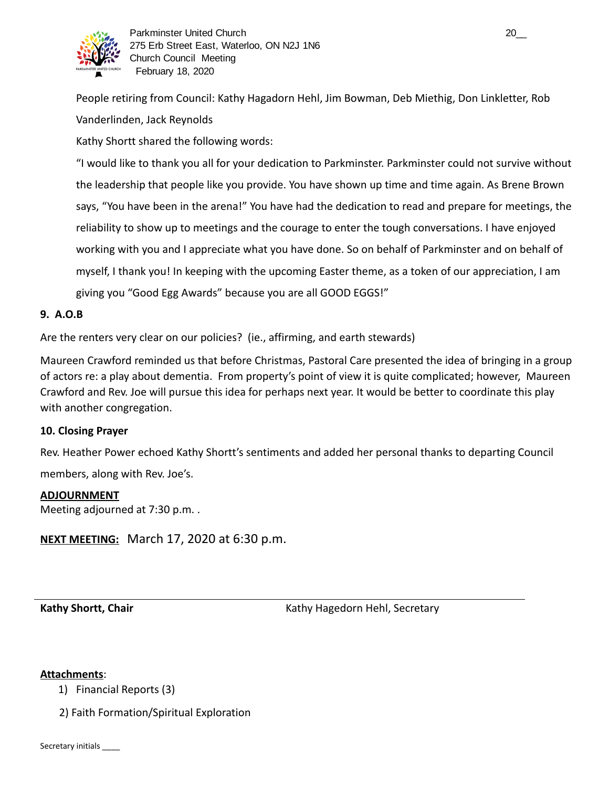

People retiring from Council: Kathy Hagadorn Hehl, Jim Bowman, Deb Miethig, Don Linkletter, Rob Vanderlinden, Jack Reynolds

Kathy Shortt shared the following words:

"I would like to thank you all for your dedication to Parkminster. Parkminster could not survive without the leadership that people like you provide. You have shown up time and time again. As Brene Brown says, "You have been in the arena!" You have had the dedication to read and prepare for meetings, the reliability to show up to meetings and the courage to enter the tough conversations. I have enjoyed working with you and I appreciate what you have done. So on behalf of Parkminster and on behalf of myself, I thank you! In keeping with the upcoming Easter theme, as a token of our appreciation, I am giving you "Good Egg Awards" because you are all GOOD EGGS!"

## **9. A.O.B**

Are the renters very clear on our policies? (ie., affirming, and earth stewards)

Maureen Crawford reminded us that before Christmas, Pastoral Care presented the idea of bringing in a group of actors re: a play about dementia. From property's point of view it is quite complicated; however, Maureen Crawford and Rev. Joe will pursue this idea for perhaps next year. It would be better to coordinate this play with another congregation.

## **10. Closing Prayer**

Rev. Heather Power echoed Kathy Shortt's sentiments and added her personal thanks to departing Council

members, along with Rev. Joe's.

#### **ADJOURNMENT**

Meeting adjourned at 7:30 p.m. .

**NEXT MEETING:** March 17, 2020 at 6:30 p.m.

**Kathy Shortt, Chair**  Kathy Hagedorn Hehl, Secretary **Kathy Hagedorn Hehl**, Secretary

#### **Attachments** :

1) Financial Reports (3)

2) Faith Formation/Spiritual Exploration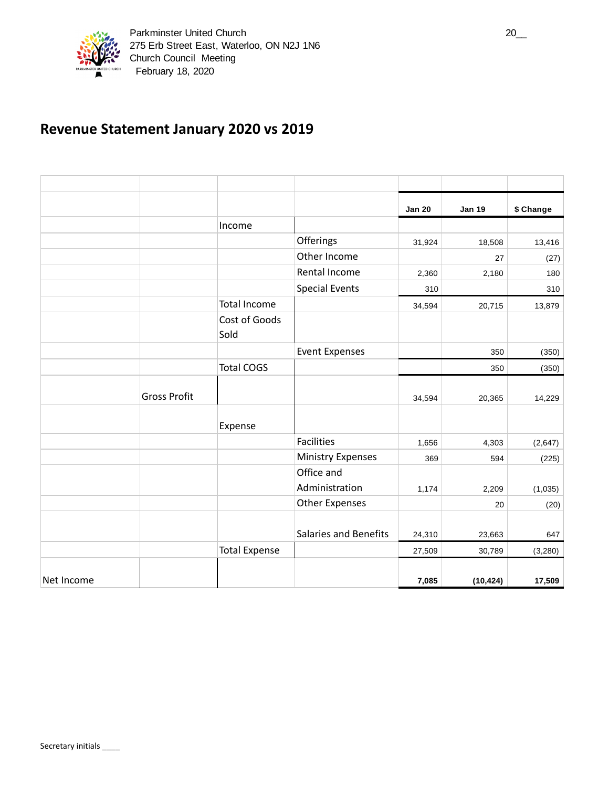

# **Revenue Statement January 2020 vs 2019**

|            |                     |                       |                              | <b>Jan 20</b> | <b>Jan 19</b> | \$ Change |
|------------|---------------------|-----------------------|------------------------------|---------------|---------------|-----------|
|            |                     | Income                |                              |               |               |           |
|            |                     |                       | Offerings                    | 31,924        | 18,508        | 13,416    |
|            |                     |                       | Other Income                 |               | 27            | (27)      |
|            |                     |                       | Rental Income                | 2,360         | 2,180         | 180       |
|            |                     |                       | <b>Special Events</b>        | 310           |               | 310       |
|            |                     | <b>Total Income</b>   |                              | 34,594        | 20,715        | 13,879    |
|            |                     | Cost of Goods<br>Sold |                              |               |               |           |
|            |                     |                       | <b>Event Expenses</b>        |               | 350           | (350)     |
|            |                     | <b>Total COGS</b>     |                              |               | 350           | (350)     |
|            | <b>Gross Profit</b> |                       |                              | 34,594        | 20,365        | 14,229    |
|            |                     | Expense               |                              |               |               |           |
|            |                     |                       | <b>Facilities</b>            | 1,656         | 4,303         | (2,647)   |
|            |                     |                       | <b>Ministry Expenses</b>     | 369           | 594           | (225)     |
|            |                     |                       | Office and                   |               |               |           |
|            |                     |                       | Administration               | 1,174         | 2,209         | (1,035)   |
|            |                     |                       | <b>Other Expenses</b>        |               | 20            | (20)      |
|            |                     |                       | <b>Salaries and Benefits</b> | 24,310        | 23,663        | 647       |
|            |                     | <b>Total Expense</b>  |                              | 27,509        | 30,789        | (3,280)   |
| Net Income |                     |                       |                              | 7,085         | (10, 424)     | 17,509    |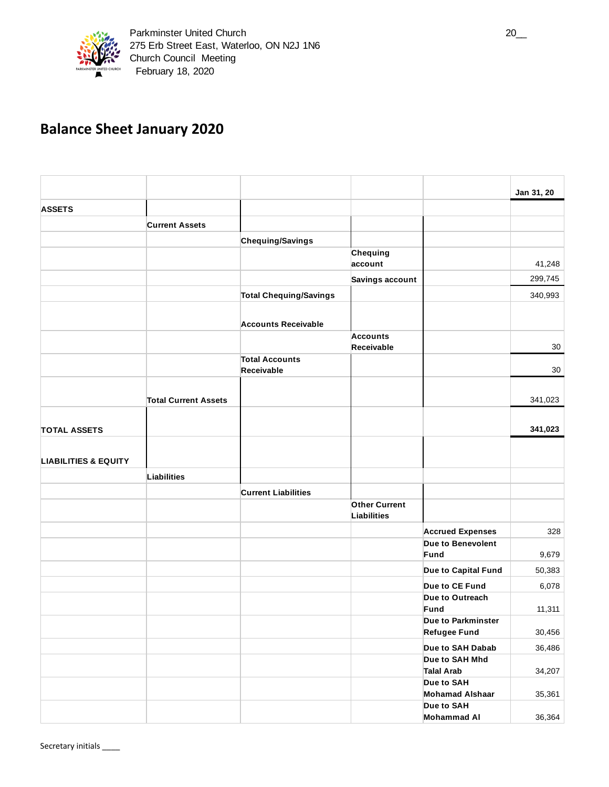

# **Balance Sheet January 2020**

|                                 |                             |                               |                               |                                              | Jan 31, 20 |
|---------------------------------|-----------------------------|-------------------------------|-------------------------------|----------------------------------------------|------------|
| <b>ASSETS</b>                   |                             |                               |                               |                                              |            |
|                                 | <b>Current Assets</b>       |                               |                               |                                              |            |
|                                 |                             | Chequing/Savings              |                               |                                              |            |
|                                 |                             |                               | Chequing                      |                                              |            |
|                                 |                             |                               | account                       |                                              | 41,248     |
|                                 |                             |                               | Savings account               |                                              | 299,745    |
|                                 |                             | <b>Total Chequing/Savings</b> |                               |                                              | 340,993    |
|                                 |                             |                               |                               |                                              |            |
|                                 |                             | <b>Accounts Receivable</b>    |                               |                                              |            |
|                                 |                             |                               | <b>Accounts</b><br>Receivable |                                              | 30         |
|                                 |                             | <b>Total Accounts</b>         |                               |                                              |            |
|                                 |                             | Receivable                    |                               |                                              | 30         |
|                                 |                             |                               |                               |                                              |            |
|                                 | <b>Total Current Assets</b> |                               |                               |                                              | 341,023    |
|                                 |                             |                               |                               |                                              |            |
| <b>TOTAL ASSETS</b>             |                             |                               |                               |                                              | 341,023    |
|                                 |                             |                               |                               |                                              |            |
| <b>LIABILITIES &amp; EQUITY</b> |                             |                               |                               |                                              |            |
|                                 | Liabilities                 |                               |                               |                                              |            |
|                                 |                             | <b>Current Liabilities</b>    |                               |                                              |            |
|                                 |                             |                               | <b>Other Current</b>          |                                              |            |
|                                 |                             |                               | <b>Liabilities</b>            |                                              |            |
|                                 |                             |                               |                               | <b>Accrued Expenses</b><br>Due to Benevolent | 328        |
|                                 |                             |                               |                               | Fund                                         | 9,679      |
|                                 |                             |                               |                               | Due to Capital Fund                          | 50,383     |
|                                 |                             |                               |                               | Due to CE Fund                               | 6,078      |
|                                 |                             |                               |                               | Due to Outreach                              |            |
|                                 |                             |                               |                               | Fund                                         | 11,311     |
|                                 |                             |                               |                               | Due to Parkminster<br><b>Refugee Fund</b>    | 30,456     |
|                                 |                             |                               |                               | Due to SAH Dabab                             | 36,486     |
|                                 |                             |                               |                               | Due to SAH Mhd                               |            |
|                                 |                             |                               |                               | <b>Talal Arab</b>                            | 34,207     |
|                                 |                             |                               |                               | Due to SAH<br><b>Mohamad Alshaar</b>         | 35,361     |
|                                 |                             |                               |                               | Due to SAH                                   |            |
|                                 |                             |                               |                               | <b>Mohammad Al</b>                           | 36,364     |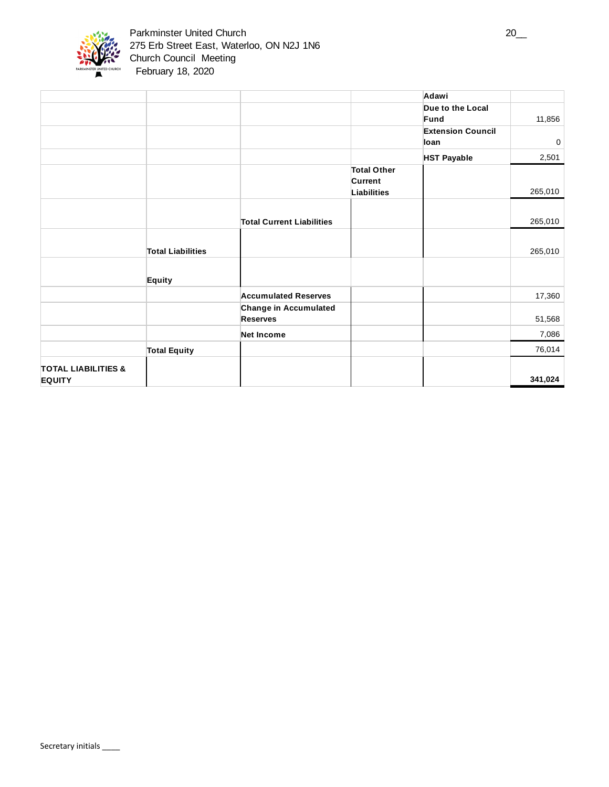

|                                |                          |                                  |                    | Adawi                    |             |
|--------------------------------|--------------------------|----------------------------------|--------------------|--------------------------|-------------|
|                                |                          |                                  |                    | Due to the Local         |             |
|                                |                          |                                  |                    | Fund                     | 11,856      |
|                                |                          |                                  |                    | <b>Extension Council</b> |             |
|                                |                          |                                  |                    | loan                     | $\mathbf 0$ |
|                                |                          |                                  |                    | <b>HST Payable</b>       | 2,501       |
|                                |                          |                                  | <b>Total Other</b> |                          |             |
|                                |                          |                                  | Current            |                          |             |
|                                |                          |                                  | <b>Liabilities</b> |                          | 265,010     |
|                                |                          |                                  |                    |                          |             |
|                                |                          | <b>Total Current Liabilities</b> |                    |                          | 265,010     |
|                                |                          |                                  |                    |                          |             |
|                                | <b>Total Liabilities</b> |                                  |                    |                          | 265,010     |
|                                |                          |                                  |                    |                          |             |
|                                | <b>Equity</b>            |                                  |                    |                          |             |
|                                |                          | <b>Accumulated Reserves</b>      |                    |                          | 17,360      |
|                                |                          | <b>Change in Accumulated</b>     |                    |                          |             |
|                                |                          | <b>Reserves</b>                  |                    |                          | 51,568      |
|                                |                          | <b>Net Income</b>                |                    |                          | 7,086       |
|                                | <b>Total Equity</b>      |                                  |                    |                          | 76,014      |
| <b>TOTAL LIABILITIES &amp;</b> |                          |                                  |                    |                          |             |
| <b>EQUITY</b>                  |                          |                                  |                    |                          | 341,024     |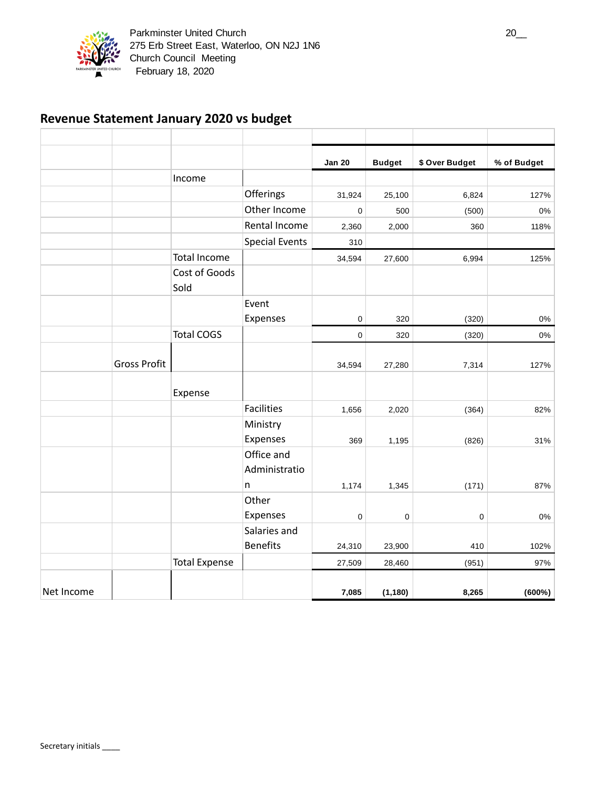

## **Revenue Statement January 2020 vs budget**

|            |                     |                       |                                  | <b>Jan 20</b> | <b>Budget</b>  | \$ Over Budget | % of Budget |
|------------|---------------------|-----------------------|----------------------------------|---------------|----------------|----------------|-------------|
|            |                     | Income                |                                  |               |                |                |             |
|            |                     |                       | Offerings                        | 31,924        | 25,100         | 6,824          | 127%        |
|            |                     |                       | Other Income                     | 0             | 500            | (500)          | 0%          |
|            |                     |                       | Rental Income                    | 2,360         | 2,000          | 360            | 118%        |
|            |                     |                       | <b>Special Events</b>            | 310           |                |                |             |
|            |                     | <b>Total Income</b>   |                                  | 34,594        | 27,600         | 6,994          | 125%        |
|            |                     | Cost of Goods<br>Sold |                                  |               |                |                |             |
|            |                     |                       | Event                            |               |                |                |             |
|            |                     |                       | Expenses                         | 0             | 320            | (320)          | 0%          |
|            |                     | <b>Total COGS</b>     |                                  | 0             | 320            | (320)          | 0%          |
|            | <b>Gross Profit</b> |                       |                                  | 34,594        | 27,280         | 7,314          | 127%        |
|            |                     | Expense               |                                  |               |                |                |             |
|            |                     |                       | <b>Facilities</b>                | 1,656         | 2,020          | (364)          | 82%         |
|            |                     |                       | Ministry<br>Expenses             | 369           |                |                | 31%         |
|            |                     |                       | Office and<br>Administratio<br>n | 1,174         | 1,195<br>1,345 | (826)<br>(171) | 87%         |
|            |                     |                       | Other                            |               |                |                |             |
|            |                     |                       | Expenses                         | 0             | 0              | 0              | 0%          |
|            |                     |                       | Salaries and                     |               |                |                |             |
|            |                     |                       | <b>Benefits</b>                  | 24,310        | 23,900         | 410            | 102%        |
|            |                     | <b>Total Expense</b>  |                                  | 27,509        | 28,460         | (951)          | 97%         |
| Net Income |                     |                       |                                  | 7,085         | (1, 180)       | 8,265          | (600%)      |